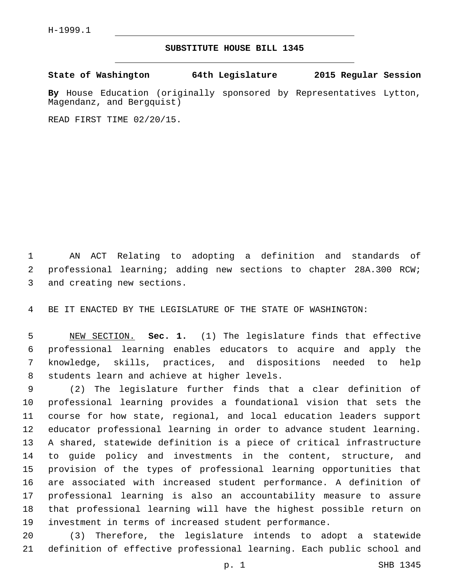H-1999.1

## **SUBSTITUTE HOUSE BILL 1345**

**State of Washington 64th Legislature 2015 Regular Session**

**By** House Education (originally sponsored by Representatives Lytton, Magendanz, and Bergquist)

READ FIRST TIME 02/20/15.

 AN ACT Relating to adopting a definition and standards of professional learning; adding new sections to chapter 28A.300 RCW; 3 and creating new sections.

BE IT ENACTED BY THE LEGISLATURE OF THE STATE OF WASHINGTON:

 NEW SECTION. **Sec. 1.** (1) The legislature finds that effective professional learning enables educators to acquire and apply the knowledge, skills, practices, and dispositions needed to help students learn and achieve at higher levels.

 (2) The legislature further finds that a clear definition of professional learning provides a foundational vision that sets the course for how state, regional, and local education leaders support educator professional learning in order to advance student learning. A shared, statewide definition is a piece of critical infrastructure to guide policy and investments in the content, structure, and provision of the types of professional learning opportunities that are associated with increased student performance. A definition of professional learning is also an accountability measure to assure that professional learning will have the highest possible return on investment in terms of increased student performance.

 (3) Therefore, the legislature intends to adopt a statewide definition of effective professional learning. Each public school and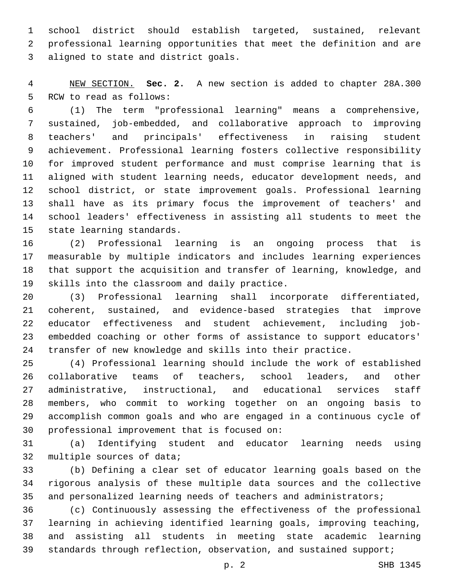school district should establish targeted, sustained, relevant professional learning opportunities that meet the definition and are 3 aligned to state and district goals.

 NEW SECTION. **Sec. 2.** A new section is added to chapter 28A.300 5 RCW to read as follows:

 (1) The term "professional learning" means a comprehensive, sustained, job-embedded, and collaborative approach to improving teachers' and principals' effectiveness in raising student achievement. Professional learning fosters collective responsibility for improved student performance and must comprise learning that is aligned with student learning needs, educator development needs, and school district, or state improvement goals. Professional learning shall have as its primary focus the improvement of teachers' and school leaders' effectiveness in assisting all students to meet the 15 state learning standards.

 (2) Professional learning is an ongoing process that is measurable by multiple indicators and includes learning experiences that support the acquisition and transfer of learning, knowledge, and 19 skills into the classroom and daily practice.

 (3) Professional learning shall incorporate differentiated, coherent, sustained, and evidence-based strategies that improve educator effectiveness and student achievement, including job- embedded coaching or other forms of assistance to support educators' transfer of new knowledge and skills into their practice.

 (4) Professional learning should include the work of established collaborative teams of teachers, school leaders, and other administrative, instructional, and educational services staff members, who commit to working together on an ongoing basis to accomplish common goals and who are engaged in a continuous cycle of 30 professional improvement that is focused on:

 (a) Identifying student and educator learning needs using 32 multiple sources of data;

 (b) Defining a clear set of educator learning goals based on the rigorous analysis of these multiple data sources and the collective 35 and personalized learning needs of teachers and administrators;

 (c) Continuously assessing the effectiveness of the professional learning in achieving identified learning goals, improving teaching, and assisting all students in meeting state academic learning 39 standards through reflection, observation, and sustained support;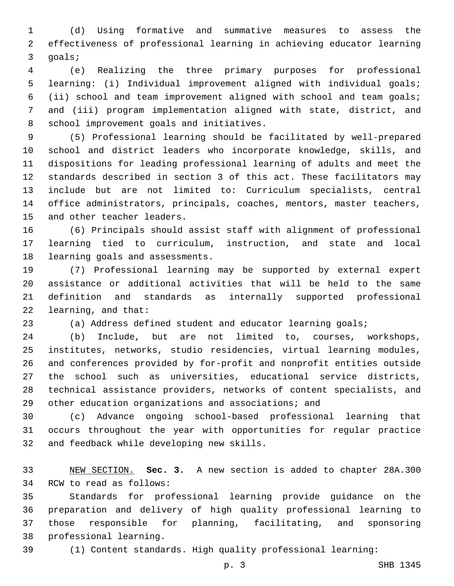(d) Using formative and summative measures to assess the effectiveness of professional learning in achieving educator learning 3 goals;

 (e) Realizing the three primary purposes for professional learning: (i) Individual improvement aligned with individual goals; (ii) school and team improvement aligned with school and team goals; and (iii) program implementation aligned with state, district, and 8 school improvement goals and initiatives.

 (5) Professional learning should be facilitated by well-prepared school and district leaders who incorporate knowledge, skills, and dispositions for leading professional learning of adults and meet the standards described in section 3 of this act. These facilitators may include but are not limited to: Curriculum specialists, central office administrators, principals, coaches, mentors, master teachers, 15 and other teacher leaders.

 (6) Principals should assist staff with alignment of professional learning tied to curriculum, instruction, and state and local 18 learning goals and assessments.

 (7) Professional learning may be supported by external expert assistance or additional activities that will be held to the same definition and standards as internally supported professional 22 learning, and that:

(a) Address defined student and educator learning goals;

 (b) Include, but are not limited to, courses, workshops, institutes, networks, studio residencies, virtual learning modules, and conferences provided by for-profit and nonprofit entities outside the school such as universities, educational service districts, technical assistance providers, networks of content specialists, and other education organizations and associations; and

 (c) Advance ongoing school-based professional learning that occurs throughout the year with opportunities for regular practice 32 and feedback while developing new skills.

 NEW SECTION. **Sec. 3.** A new section is added to chapter 28A.300 34 RCW to read as follows:

 Standards for professional learning provide guidance on the preparation and delivery of high quality professional learning to those responsible for planning, facilitating, and sponsoring 38 professional learning.

(1) Content standards. High quality professional learning: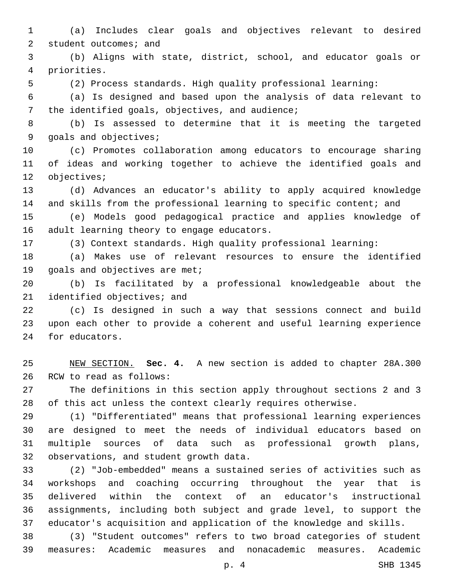(a) Includes clear goals and objectives relevant to desired 2 student outcomes; and

 (b) Aligns with state, district, school, and educator goals or priorities.4

(2) Process standards. High quality professional learning:

 (a) Is designed and based upon the analysis of data relevant to 7 the identified goals, objectives, and audience;

 (b) Is assessed to determine that it is meeting the targeted 9 goals and objectives;

 (c) Promotes collaboration among educators to encourage sharing of ideas and working together to achieve the identified goals and 12 objectives;

 (d) Advances an educator's ability to apply acquired knowledge and skills from the professional learning to specific content; and

 (e) Models good pedagogical practice and applies knowledge of 16 adult learning theory to engage educators.

(3) Context standards. High quality professional learning:

 (a) Makes use of relevant resources to ensure the identified 19 goals and objectives are met;

 (b) Is facilitated by a professional knowledgeable about the 21 identified objectives; and

 (c) Is designed in such a way that sessions connect and build upon each other to provide a coherent and useful learning experience 24 for educators.

 NEW SECTION. **Sec. 4.** A new section is added to chapter 28A.300 26 RCW to read as follows:

 The definitions in this section apply throughout sections 2 and 3 of this act unless the context clearly requires otherwise.

 (1) "Differentiated" means that professional learning experiences are designed to meet the needs of individual educators based on multiple sources of data such as professional growth plans, 32 observations, and student growth data.

 (2) "Job-embedded" means a sustained series of activities such as workshops and coaching occurring throughout the year that is delivered within the context of an educator's instructional assignments, including both subject and grade level, to support the educator's acquisition and application of the knowledge and skills.

 (3) "Student outcomes" refers to two broad categories of student measures: Academic measures and nonacademic measures. Academic

p. 4 SHB 1345